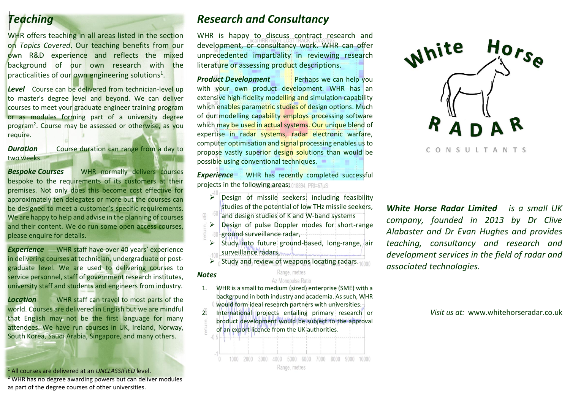# *Teaching*

WHR offers teaching in all areas listed in the section on *Topics Covered*. Our teaching benefits from our own R&D experience and reflects the mixed background of our own research with the practicalities of our own engineering solutions<sup>1</sup>.

**Level** Course can be delivered from technician-level up to master's degree level and beyond. We can deliver courses to meet your graduate engineer training program or as modules forming part of a university degree program<sup>2</sup>. Course may be assessed or otherwise, as you require.

*Duration* Course duration can range from a day to two weeks.

*Bespoke Courses* WHR normally delivers courses bespoke to the requirements of its customers at their premises. Not only does this become cost effective for approximately ten delegates or more but the courses can be designed to meet a customer's specific requirements. We are happy to help and advise in the planning of courses and their content. We do run some open access courses, please enquire for details.

**Experience** WHR staff have over 40 years' experience in delivering courses at technician, undergraduate or postgraduate level. We are used to delivering courses to service personnel, staff of government research institutes, university staff and students and engineers from industry.

**Location** WHR staff can travel to most parts of the world. Courses are delivered in English but we are mindful that English may not be the first language for many attendees. We have run courses in UK, Ireland, Norway, South Korea, Saudi Arabia, Singapore, and many others.

### <sup>1</sup> All courses are delivered at an *UNCLASSIFIED* level.

İ

<sup>2</sup> WHR has no degree awarding powers but can deliver modules as part of the degree courses of other universities.

# *Research and Consultancy*

WHR is happy to discuss contract research and development, or consultancy work. WHR can offer unprecedented impartiality in reviewing research literature or assessing product descriptions.

**Product Development** Perhaps we can help you with your own product development. WHR has an extensive high-fidelity modelling and simulation capability which enables parametric studies of design options. Much of our modelling capability employs processing software which may be used in actual systems. Our unique blend of expertise in radar systems, radar electronic warfare, computer optimisation and signal processing enables us to propose vastly superior design solutions than would be possible using conventional techniques.

**Experience** WHR has recently completed successful projects in the following areas: 018894 PRI=67uS

- $\triangleright$  Design of missile seekers: including feasibility studies of the potential of low THz missile seekers,  $\frac{m}{n}$ and design studies of K and W-band systems
- $\frac{1}{5}$  Design of pulse Doppler modes for short-range<br>  $\frac{1}{5}$  80 ground surveillance radar, ground surveillance radar,
	- $\triangleright$  Study into future ground-based, long-range, air surveillance radars,
	- $\triangleright$  Study and review of weapons locating radars.

#### Range, metres

*Notes*

#### Az Monopulse Ratio

- 1. WHR is a small to medium (sized) enterprise (SME) with a background in both industry and academia. As such, WHR would form ideal research partners with universities.
- 2. International projects entailing primary research or product development would be subject to the approval of an export licence from the UK authorities.

CONSULTANTS

Nhite

 $Hor$ <sub>se</sub>

*White Horse Radar Limited is a small UK company, founded in 2013 by Dr Clive Alabaster and Dr Evan Hughes and provides teaching, consultancy and research and development services in the field of radar and associated technologies.*

### *Visit us at:* www.whitehorseradar.co.uk